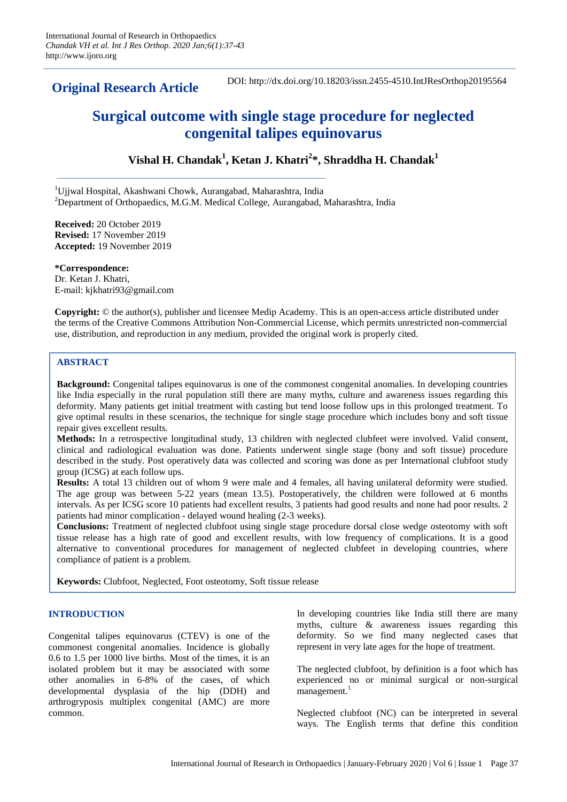**Original Research Article**

DOI: http://dx.doi.org/10.18203/issn.2455-4510.IntJResOrthop20195564

# **Surgical outcome with single stage procedure for neglected congenital talipes equinovarus**

**Vishal H. Chandak<sup>1</sup> , Ketan J. Khatri<sup>2</sup> \*, Shraddha H. Chandak<sup>1</sup>**

<sup>1</sup>Uiiwal Hospital, Akashwani Chowk, Aurangabad, Maharashtra, India <sup>2</sup>Department of Orthopaedics, M.G.M. Medical College, Aurangabad, Maharashtra, India

**Received:** 20 October 2019 **Revised:** 17 November 2019 **Accepted:** 19 November 2019

**\*Correspondence:** Dr. Ketan J. Khatri, E-mail: kjkhatri93@gmail.com

**Copyright:** © the author(s), publisher and licensee Medip Academy. This is an open-access article distributed under the terms of the Creative Commons Attribution Non-Commercial License, which permits unrestricted non-commercial use, distribution, and reproduction in any medium, provided the original work is properly cited.

# **ABSTRACT**

**Background:** Congenital talipes equinovarus is one of the commonest congenital anomalies. In developing countries like India especially in the rural population still there are many myths, culture and awareness issues regarding this deformity. Many patients get initial treatment with casting but tend loose follow ups in this prolonged treatment. To give optimal results in these scenarios, the technique for single stage procedure which includes bony and soft tissue repair gives excellent results.

**Methods:** In a retrospective longitudinal study, 13 children with neglected clubfeet were involved. Valid consent, clinical and radiological evaluation was done. Patients underwent single stage (bony and soft tissue) procedure described in the study. Post operatively data was collected and scoring was done as per International clubfoot study group (ICSG) at each follow ups.

**Results:** A total 13 children out of whom 9 were male and 4 females, all having unilateral deformity were studied. The age group was between 5-22 years (mean 13.5). Postoperatively, the children were followed at 6 months intervals. As per ICSG score 10 patients had excellent results, 3 patients had good results and none had poor results. 2 patients had minor complication - delayed wound healing (2-3 weeks).

**Conclusions:** Treatment of neglected clubfoot using single stage procedure dorsal close wedge osteotomy with soft tissue release has a high rate of good and excellent results, with low frequency of complications. It is a good alternative to conventional procedures for management of neglected clubfeet in developing countries, where compliance of patient is a problem.

**Keywords:** Clubfoot, Neglected, Foot osteotomy, Soft tissue release

# **INTRODUCTION**

Congenital talipes equinovarus (CTEV) is one of the commonest congenital anomalies. Incidence is globally 0.6 to 1.5 per 1000 live births. Most of the times, it is an isolated problem but it may be associated with some other anomalies in 6-8% of the cases, of which developmental dysplasia of the hip (DDH) and arthrogryposis multiplex congenital (AMC) are more common.

In developing countries like India still there are many myths, culture & awareness issues regarding this deformity. So we find many neglected cases that represent in very late ages for the hope of treatment.

The neglected clubfoot, by definition is a foot which has experienced no or minimal surgical or non-surgical  $m$ anagement.<sup>1</sup>

Neglected clubfoot (NC) can be interpreted in several ways. The English terms that define this condition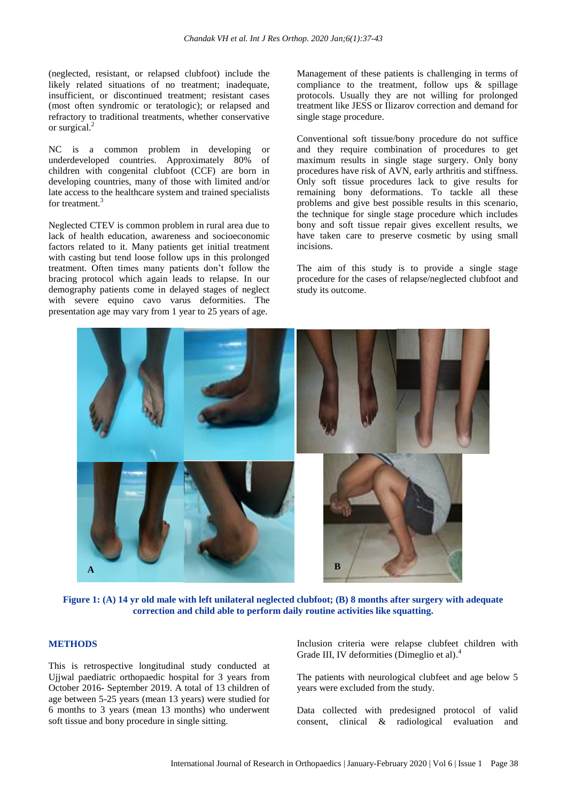(neglected, resistant, or relapsed clubfoot) include the likely related situations of no treatment; inadequate, insufficient, or discontinued treatment; resistant cases (most often syndromic or teratologic); or relapsed and refractory to traditional treatments, whether conservative or surgical.<sup>2</sup>

NC is a common problem in developing or underdeveloped countries. Approximately 80% of children with congenital clubfoot (CCF) are born in developing countries, many of those with limited and/or late access to the healthcare system and trained specialists for treatment.<sup>3</sup>

Neglected CTEV is common problem in rural area due to lack of health education, awareness and socioeconomic factors related to it. Many patients get initial treatment with casting but tend loose follow ups in this prolonged treatment. Often times many patients don't follow the bracing protocol which again leads to relapse. In our demography patients come in delayed stages of neglect with severe equino cavo varus deformities. The presentation age may vary from 1 year to 25 years of age.

Management of these patients is challenging in terms of compliance to the treatment, follow ups & spillage protocols. Usually they are not willing for prolonged treatment like JESS or Ilizarov correction and demand for single stage procedure.

Conventional soft tissue/bony procedure do not suffice and they require combination of procedures to get maximum results in single stage surgery. Only bony procedures have risk of AVN, early arthritis and stiffness. Only soft tissue procedures lack to give results for remaining bony deformations. To tackle all these problems and give best possible results in this scenario, the technique for single stage procedure which includes bony and soft tissue repair gives excellent results, we have taken care to preserve cosmetic by using small incisions.

The aim of this study is to provide a single stage procedure for the cases of relapse/neglected clubfoot and study its outcome.



**Figure 1: (A) 14 yr old male with left unilateral neglected clubfoot; (B) 8 months after surgery with adequate correction and child able to perform daily routine activities like squatting.**

#### **METHODS**

This is retrospective longitudinal study conducted at Ujjwal paediatric orthopaedic hospital for 3 years from October 2016- September 2019. A total of 13 children of age between 5-25 years (mean 13 years) were studied for 6 months to 3 years (mean 13 months) who underwent soft tissue and bony procedure in single sitting.

Inclusion criteria were relapse clubfeet children with Grade III, IV deformities (Dimeglio et al). 4

The patients with neurological clubfeet and age below 5 years were excluded from the study.

Data collected with predesigned protocol of valid consent, clinical & radiological evaluation and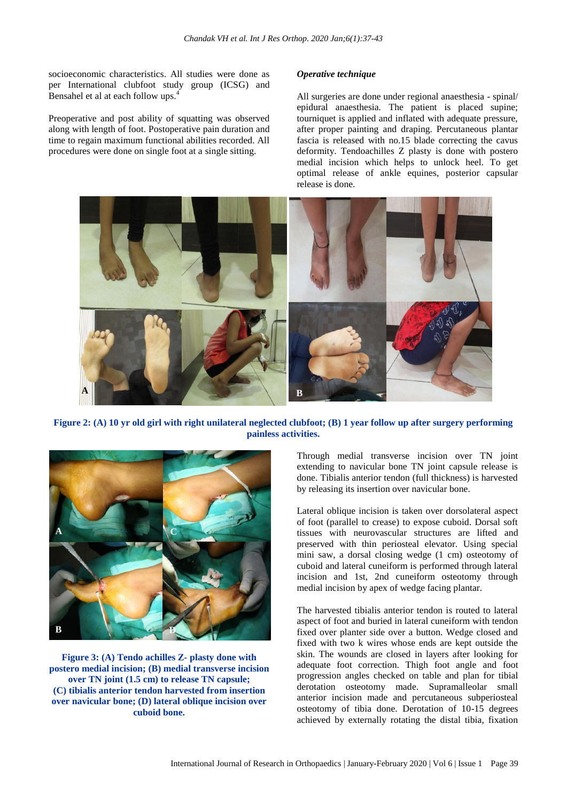socioeconomic characteristics. All studies were done as per International clubfoot study group (ICSG) and Bensahel et al at each follow ups.<sup>4</sup>

Preoperative and post ability of squatting was observed along with length of foot. Postoperative pain duration and time to regain maximum functional abilities recorded. All procedures were done on single foot at a single sitting.

#### *Operative technique*

All surgeries are done under regional anaesthesia - spinal/ epidural anaesthesia. The patient is placed supine; tourniquet is applied and inflated with adequate pressure, after proper painting and draping. Percutaneous plantar fascia is released with no.15 blade correcting the cavus deformity. Tendoachilles Z plasty is done with postero medial incision which helps to unlock heel. To get optimal release of ankle equines, posterior capsular release is done.



**Figure 2: (A) 10 yr old girl with right unilateral neglected clubfoot; (B) 1 year follow up after surgery performing painless activities.**



**Figure 3: (A) Tendo achilles Z- plasty done with postero medial incision; (B) medial transverse incision over TN joint (1.5 cm) to release TN capsule; (C) tibialis anterior tendon harvested from insertion over navicular bone; (D) lateral oblique incision over cuboid bone.**

Through medial transverse incision over TN joint extending to navicular bone TN joint capsule release is done. Tibialis anterior tendon (full thickness) is harvested by releasing its insertion over navicular bone.

Lateral oblique incision is taken over dorsolateral aspect of foot (parallel to crease) to expose cuboid. Dorsal soft tissues with neurovascular structures are lifted and preserved with thin periosteal elevator. Using special mini saw, a dorsal closing wedge (1 cm) osteotomy of cuboid and lateral cuneiform is performed through lateral incision and 1st, 2nd cuneiform osteotomy through medial incision by apex of wedge facing plantar.

The harvested tibialis anterior tendon is routed to lateral aspect of foot and buried in lateral cuneiform with tendon fixed over planter side over a button. Wedge closed and fixed with two k wires whose ends are kept outside the skin. The wounds are closed in layers after looking for adequate foot correction. Thigh foot angle and foot progression angles checked on table and plan for tibial derotation osteotomy made. Supramalleolar small anterior incision made and percutaneous subperiosteal osteotomy of tibia done. Derotation of 10-15 degrees achieved by externally rotating the distal tibia, fixation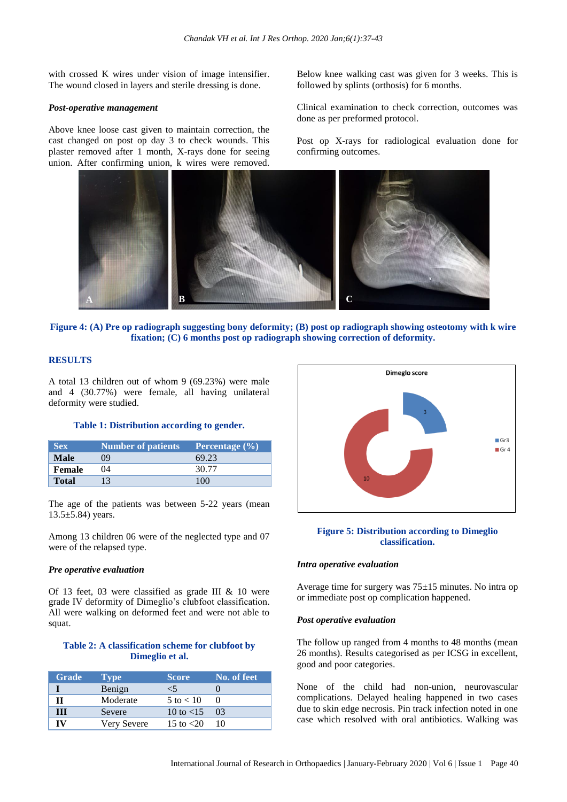with crossed K wires under vision of image intensifier. The wound closed in layers and sterile dressing is done.

#### *Post-operative management*

Above knee loose cast given to maintain correction, the cast changed on post op day 3 to check wounds. This plaster removed after 1 month, X-rays done for seeing union. After confirming union, k wires were removed.

Below knee walking cast was given for 3 weeks. This is followed by splints (orthosis) for 6 months.

Clinical examination to check correction, outcomes was done as per preformed protocol.

Post op X-rays for radiological evaluation done for confirming outcomes.



**Figure 4: (A) Pre op radiograph suggesting bony deformity; (B) post op radiograph showing osteotomy with k wire fixation; (C) 6 months post op radiograph showing correction of deformity.**

# **RESULTS**

A total 13 children out of whom 9 (69.23%) were male and 4 (30.77%) were female, all having unilateral deformity were studied.

## **Table 1: Distribution according to gender.**

| <b>Sex</b>   | Number of patients | Percentage $(\% )$ |
|--------------|--------------------|--------------------|
| <b>Male</b>  | 09                 | 69.23              |
| Female       | 04                 | 30.77              |
| <b>Total</b> |                    | 100                |

The age of the patients was between 5-22 years (mean  $13.5 \pm 5.84$ ) years.

Among 13 children 06 were of the neglected type and 07 were of the relapsed type.

#### *Pre operative evaluation*

Of 13 feet, 03 were classified as grade III & 10 were grade IV deformity of Dimeglio's clubfoot classification. All were walking on deformed feet and were not able to squat.

## **Table 2: A classification scheme for clubfoot by Dimeglio et al.**

| <b>Grade</b> | <b>Type</b> | <b>Score</b>               | No. of feet |
|--------------|-------------|----------------------------|-------------|
|              | Benign      | ⊂⁄                         |             |
|              | Moderate    | $5$ to $< 10$              |             |
| Ш            | Severe      | 10 to $<$ 15               | $\Omega$    |
| rv           | Very Severe | 15 to $\langle 20 \rangle$ |             |



#### **Figure 5: Distribution according to Dimeglio classification.**

#### *Intra operative evaluation*

Average time for surgery was 75*±*15 minutes. No intra op or immediate post op complication happened.

## *Post operative evaluation*

The follow up ranged from 4 months to 48 months (mean 26 months). Results categorised as per ICSG in excellent, good and poor categories.

None of the child had non-union, neurovascular complications. Delayed healing happened in two cases due to skin edge necrosis. Pin track infection noted in one case which resolved with oral antibiotics. Walking was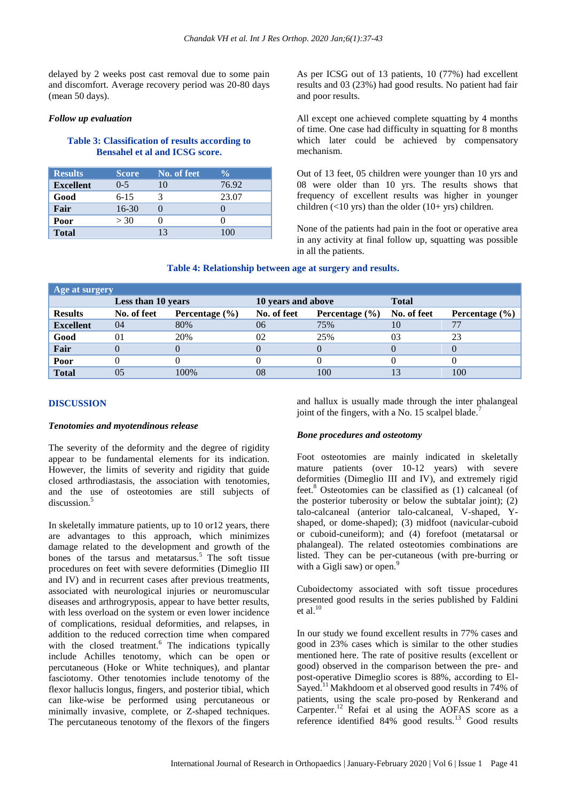delayed by 2 weeks post cast removal due to some pain and discomfort. Average recovery period was 20-80 days (mean 50 days).

## *Follow up evaluation*

# **Table 3: Classification of results according to Bensahel et al and ICSG score.**

| <b>Results</b>   | <b>Score</b> | No. of feet | $\frac{0}{\sqrt{2}}$ |
|------------------|--------------|-------------|----------------------|
| <b>Excellent</b> | $0 - 5$      | 10          | 76.92                |
| Good             | $6-15$       |             | 23.07                |
| Fair             | $16-30$      |             |                      |
| Poor             | > 30         |             |                      |
| <b>Total</b>     |              | 13          | 100                  |

As per ICSG out of 13 patients, 10 (77%) had excellent results and 03 (23%) had good results. No patient had fair and poor results.

All except one achieved complete squatting by 4 months of time. One case had difficulty in squatting for 8 months which later could be achieved by compensatory mechanism.

Out of 13 feet, 05 children were younger than 10 yrs and 08 were older than 10 yrs. The results shows that frequency of excellent results was higher in younger children  $($ <10 yrs) than the older  $(10+$  yrs) children.

None of the patients had pain in the foot or operative area in any activity at final follow up, squatting was possible in all the patients.

## **Table 4: Relationship between age at surgery and results.**

| Age at surgery   |                    |                    |                    |                    |              |                           |  |
|------------------|--------------------|--------------------|--------------------|--------------------|--------------|---------------------------|--|
|                  | Less than 10 years |                    | 10 years and above |                    | <b>Total</b> |                           |  |
| <b>Results</b>   | No. of feet        | Percentage $(\% )$ | No. of feet        | Percentage $(\% )$ | No. of feet  | <b>Percentage</b> $(\% )$ |  |
| <b>Excellent</b> | 04                 | 80%                | 06                 | 75%                |              |                           |  |
| Good             | 01                 | 20%                | 02                 | 25%                | 03           | 23                        |  |
| Fair             | $\theta$           |                    |                    |                    |              |                           |  |
| Poor             |                    |                    |                    |                    |              |                           |  |
| <b>Total</b>     |                    | 100%               | 08                 | 100                |              | 100                       |  |

## **DISCUSSION**

#### *Tenotomies and myotendinous release*

The severity of the deformity and the degree of rigidity appear to be fundamental elements for its indication. However, the limits of severity and rigidity that guide closed arthrodiastasis, the association with tenotomies, and the use of osteotomies are still subjects of discussion.<sup>5</sup>

In skeletally immature patients, up to 10 or12 years, there are advantages to this approach, which minimizes damage related to the development and growth of the bones of the tarsus and metatarsus.<sup>5</sup> The soft tissue procedures on feet with severe deformities (Dimeglio III and IV) and in recurrent cases after previous treatments, associated with neurological injuries or neuromuscular diseases and arthrogryposis, appear to have better results, with less overload on the system or even lower incidence of complications, residual deformities, and relapses, in addition to the reduced correction time when compared with the closed treatment.<sup>6</sup> The indications typically include Achilles tenotomy, which can be open or percutaneous (Hoke or White techniques), and plantar fasciotomy. Other tenotomies include tenotomy of the flexor hallucis longus, fingers, and posterior tibial, which can like-wise be performed using percutaneous or minimally invasive, complete, or Z-shaped techniques. The percutaneous tenotomy of the flexors of the fingers

and hallux is usually made through the inter phalangeal joint of the fingers, with a No. 15 scalpel blade.<sup>7</sup>

#### *Bone procedures and osteotomy*

Foot osteotomies are mainly indicated in skeletally mature patients (over 10-12 years) with severe deformities (Dimeglio III and IV), and extremely rigid feet.<sup>8</sup> Osteotomies can be classified as (1) calcaneal (of the posterior tuberosity or below the subtalar joint); (2) talo-calcaneal (anterior talo-calcaneal, V-shaped, Yshaped, or dome-shaped); (3) midfoot (navicular-cuboid or cuboid-cuneiform); and (4) forefoot (metatarsal or phalangeal). The related osteotomies combinations are listed. They can be per-cutaneous (with pre-burring or with a Gigli saw) or open. $9$ 

Cuboidectomy associated with soft tissue procedures presented good results in the series published by Faldini  $et$  al.<sup>10</sup>

In our study we found excellent results in 77% cases and good in 23% cases which is similar to the other studies mentioned here. The rate of positive results (excellent or good) observed in the comparison between the pre- and post-operative Dimeglio scores is 88%, according to El-Sayed.<sup>11</sup> Makhdoom et al observed good results in 74% of patients, using the scale pro-posed by Renkerand and Carpenter.<sup>12</sup> Refai et al using the AOFAS score as a reference identified  $84\%$  good results.<sup>13</sup> Good results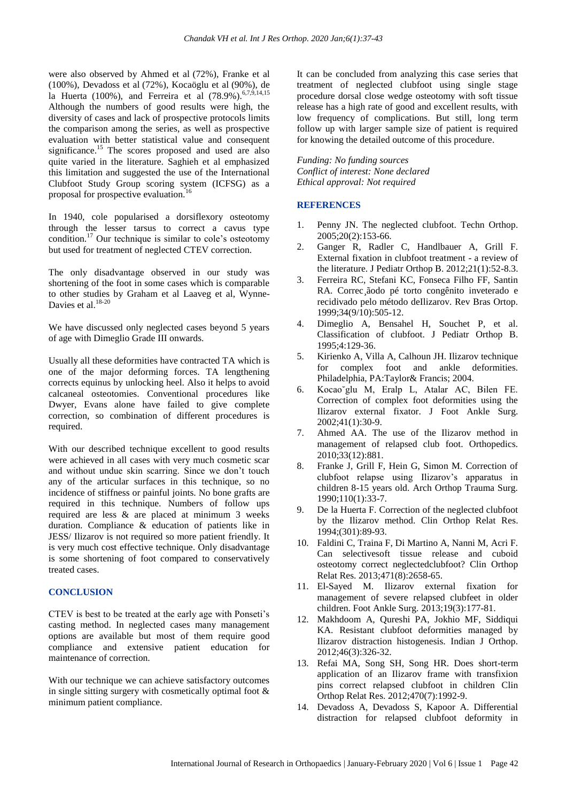were also observed by Ahmed et al (72%), Franke et al (100%), Devadoss et al (72%), Kocaöglu et al (90%), de la Huerta (100%), and Ferreira et al (78.9%).<sup>6,7,9,14,15</sup> Although the numbers of good results were high, the diversity of cases and lack of prospective protocols limits the comparison among the series, as well as prospective evaluation with better statistical value and consequent significance.<sup>15</sup> The scores proposed and used are also quite varied in the literature. Saghieh et al emphasized this limitation and suggested the use of the International Clubfoot Study Group scoring system (ICFSG) as a proposal for prospective evaluation.<sup>16</sup>

In 1940, cole popularised a dorsiflexory osteotomy through the lesser tarsus to correct a cavus type condition.<sup>17</sup> Our technique is similar to cole's osteotomy but used for treatment of neglected CTEV correction.

The only disadvantage observed in our study was shortening of the foot in some cases which is comparable to other studies by Graham et al Laaveg et al, Wynne-Davies et al.<sup>18-20</sup>

We have discussed only neglected cases beyond 5 years of age with Dimeglio Grade III onwards.

Usually all these deformities have contracted TA which is one of the major deforming forces. TA lengthening corrects equinus by unlocking heel. Also it helps to avoid calcaneal osteotomies. Conventional procedures like Dwyer, Evans alone have failed to give complete correction, so combination of different procedures is required.

With our described technique excellent to good results were achieved in all cases with very much cosmetic scar and without undue skin scarring. Since we don't touch any of the articular surfaces in this technique, so no incidence of stiffness or painful joints. No bone grafts are required in this technique. Numbers of follow ups required are less & are placed at minimum 3 weeks duration. Compliance & education of patients like in JESS/ Ilizarov is not required so more patient friendly. It is very much cost effective technique. Only disadvantage is some shortening of foot compared to conservatively treated cases.

## **CONCLUSION**

CTEV is best to be treated at the early age with Ponseti's casting method. In neglected cases many management options are available but most of them require good compliance and extensive patient education for maintenance of correction.

With our technique we can achieve satisfactory outcomes in single sitting surgery with cosmetically optimal foot  $\&$ minimum patient compliance.

It can be concluded from analyzing this case series that treatment of neglected clubfoot using single stage procedure dorsal close wedge osteotomy with soft tissue release has a high rate of good and excellent results, with low frequency of complications. But still, long term follow up with larger sample size of patient is required for knowing the detailed outcome of this procedure.

*Funding: No funding sources Conflict of interest: None declared Ethical approval: Not required*

## **REFERENCES**

- 1. Penny JN. The neglected clubfoot. Techn Orthop. 2005;20(2):153-66.
- 2. Ganger R, Radler C, Handlbauer A, Grill F. External fixation in clubfoot treatment - a review of the literature. J Pediatr Orthop B. 2012;21(1):52-8.3.
- 3. Ferreira RC, Stefani KC, Fonseca Filho FF, Santin RA. Correc¸ãodo pé torto congênito inveterado e recidivado pelo método deIlizarov. Rev Bras Ortop. 1999;34(9/10):505-12.
- 4. Dimeglio A, Bensahel H, Souchet P, et al. Classification of clubfoot. J Pediatr Orthop B. 1995;4:129-36.
- 5. Kirienko A, Villa A, Calhoun JH. Ilizarov technique for complex foot and ankle deformities. Philadelphia, PA:Taylor& Francis; 2004.
- 6. Kocao˘glu M, Eralp L, Atalar AC, Bilen FE. Correction of complex foot deformities using the Ilizarov external fixator. J Foot Ankle Surg. 2002;41(1):30-9.
- 7. Ahmed AA. The use of the Ilizarov method in management of relapsed club foot. Orthopedics. 2010;33(12):881.
- 8. Franke J, Grill F, Hein G, Simon M. Correction of clubfoot relapse using Ilizarov's apparatus in children 8-15 years old. Arch Orthop Trauma Surg. 1990;110(1):33-7.
- 9. De la Huerta F. Correction of the neglected clubfoot by the Ilizarov method. Clin Orthop Relat Res. 1994;(301):89-93.
- 10. Faldini C, Traina F, Di Martino A, Nanni M, Acri F. Can selectivesoft tissue release and cuboid osteotomy correct neglectedclubfoot? Clin Orthop Relat Res. 2013;471(8):2658-65.
- 11. El-Sayed M. Ilizarov external fixation for management of severe relapsed clubfeet in older children. Foot Ankle Surg. 2013;19(3):177-81.
- 12. Makhdoom A, Qureshi PA, Jokhio MF, Siddiqui KA. Resistant clubfoot deformities managed by Ilizarov distraction histogenesis. Indian J Orthop. 2012;46(3):326-32.
- 13. Refai MA, Song SH, Song HR. Does short-term application of an Ilizarov frame with transfixion pins correct relapsed clubfoot in children Clin Orthop Relat Res. 2012;470(7):1992-9.
- 14. Devadoss A, Devadoss S, Kapoor A. Differential distraction for relapsed clubfoot deformity in